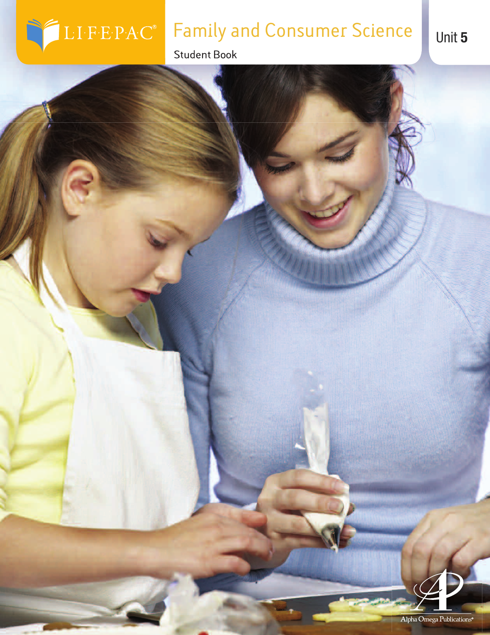# $LIF\cdot F\cdot P\cdot AC^*$ Family and Consumer Science Unit 5

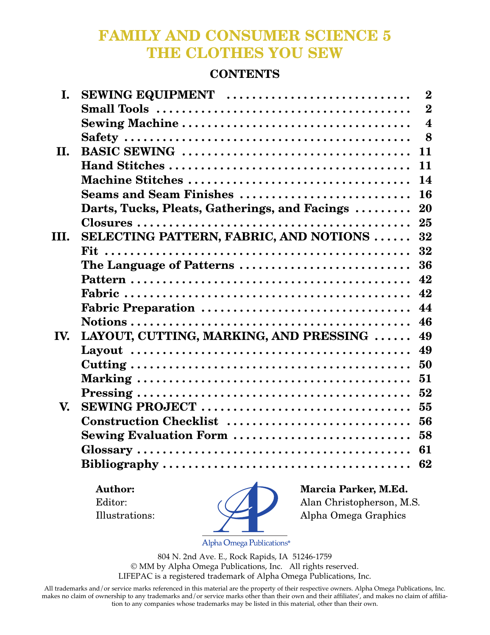## **FAMILY AND CONSUMER SCIENCE 5 THE CLOTHES YOU SEW**

#### **CONTENTS**

| L.  | SEWING EQUIPMENT                                                                                          | $\overline{2}$          |
|-----|-----------------------------------------------------------------------------------------------------------|-------------------------|
|     |                                                                                                           | $\overline{2}$          |
|     |                                                                                                           | $\overline{\mathbf{4}}$ |
|     |                                                                                                           | 8                       |
| П.  |                                                                                                           | 11                      |
|     |                                                                                                           | 11                      |
|     | Machine Stitches                                                                                          | 14                      |
|     | Seams and Seam Finishes                                                                                   | 16                      |
|     | Darts, Tucks, Pleats, Gatherings, and Facings                                                             | 20                      |
|     |                                                                                                           | 25                      |
| HL. | SELECTING PATTERN, FABRIC, AND NOTIONS                                                                    | 32                      |
|     |                                                                                                           | 32                      |
|     | The Language of Patterns                                                                                  | 36                      |
|     |                                                                                                           | 42                      |
|     |                                                                                                           | 42                      |
|     | Fabric Preparation                                                                                        | 44                      |
|     |                                                                                                           | 46                      |
| IV. | LAYOUT, CUTTING, MARKING, AND PRESSING                                                                    | 49                      |
|     |                                                                                                           | 49                      |
|     |                                                                                                           | 50                      |
|     |                                                                                                           | 51                      |
|     |                                                                                                           | 52                      |
| V.  | SEWING PROJECT                                                                                            | 55                      |
|     | Construction Checklist                                                                                    | 56                      |
|     | Sewing Evaluation Form                                                                                    | 58                      |
|     |                                                                                                           | 61                      |
|     | $Bibliography \ldots \ldots \ldots \ldots \ldots \ldots \ldots \ldots \ldots \ldots \ldots \ldots \ldots$ | 62                      |
|     |                                                                                                           |                         |





#### **Author: Marcia Parker, M.Ed.** Editor:  $\left(\frac{\sqrt{1-\lambda}}{\lambda}\right)$  Alan Christopherson, M.S. Illustrations: Alpha Omega Graphics

804 N. 2nd Ave. E., Rock Rapids, IA 51246-1759 © MM by Alpha Omega Publications, Inc. All rights reserved. LIFEPAC is a registered trademark of Alpha Omega Publications, Inc.

Alpha Omega Publications<sup>®</sup>

All trademarks and/or service marks referenced in this material are the property of their respective owners. Alpha Omega Publications, Inc. makes no claim of ownership to any trademarks and/or service marks other than their own and their affiliates', and makes no claim of affiliation to any companies whose trademarks may be listed in this material, other than their own.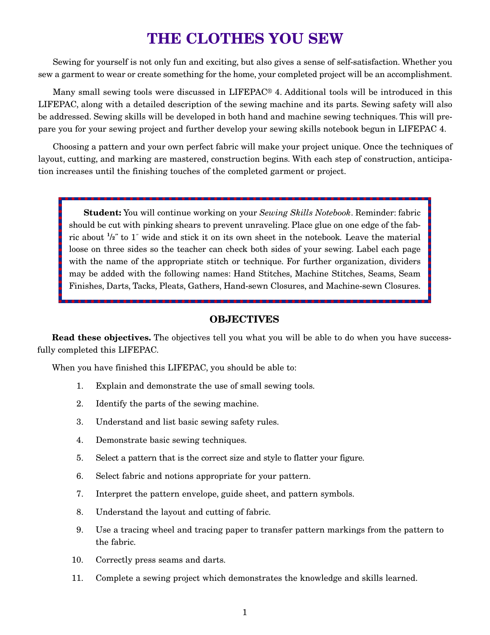### **THE CLOTHES YOU SEW**

Sewing for yourself is not only fun and exciting, but also gives a sense of self-satisfaction. Whether you sew a garment to wear or create something for the home, your completed project will be an accomplishment.

Many small sewing tools were discussed in LIFEPAC® 4. Additional tools will be introduced in this LIFEPAC, along with a detailed description of the sewing machine and its parts. Sewing safety will also be addressed. Sewing skills will be developed in both hand and machine sewing techniques. This will prepare you for your sewing project and further develop your sewing skills notebook begun in LIFEPAC 4.

Choosing a pattern and your own perfect fabric will make your project unique. Once the techniques of layout, cutting, and marking are mastered, construction begins. With each step of construction, anticipation increases until the finishing touches of the completed garment or project.

**Student:** You will continue working on your *Sewing Skills Notebook*. Reminder: fabric should be cut with pinking shears to prevent unraveling. Place glue on one edge of the fabric about **<sup>1</sup> /2˝** to 1˝ wide and stick it on its own sheet in the notebook*.* Leave the material loose on three sides so the teacher can check both sides of your sewing. Label each page with the name of the appropriate stitch or technique. For further organization, dividers may be added with the following names: Hand Stitches, Machine Stitches, Seams, Seam Finishes, Darts, Tacks, Pleats, Gathers, Hand-sewn Closures, and Machine-sewn Closures.

#### **OBJECTIVES**

**Read these objectives.** The objectives tell you what you will be able to do when you have successfully completed this LIFEPAC.

When you have finished this LIFEPAC, you should be able to:

- 1. Explain and demonstrate the use of small sewing tools.
- 2. Identify the parts of the sewing machine.
- 3. Understand and list basic sewing safety rules.
- 4. Demonstrate basic sewing techniques.
- 5. Select a pattern that is the correct size and style to flatter your figure.
- 6. Select fabric and notions appropriate for your pattern.
- 7. Interpret the pattern envelope, guide sheet, and pattern symbols.
- 8. Understand the layout and cutting of fabric.
- 9. Use a tracing wheel and tracing paper to transfer pattern markings from the pattern to the fabric.
- 10. Correctly press seams and darts.
- 11. Complete a sewing project which demonstrates the knowledge and skills learned.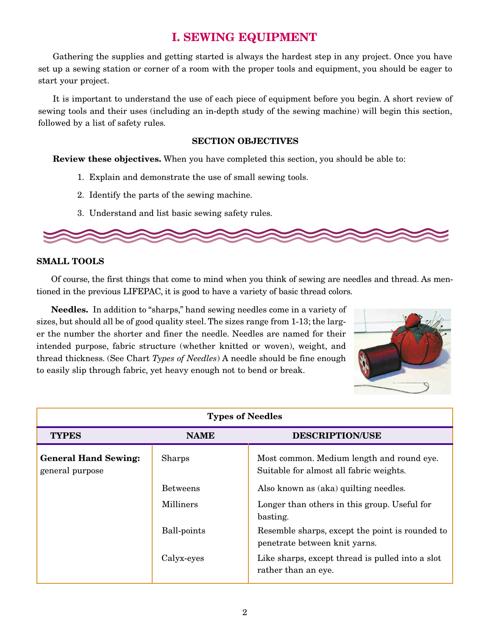### **I. SEWING EQUIPMENT**

Gathering the supplies and getting started is always the hardest step in any project. Once you have set up a sewing station or corner of a room with the proper tools and equipment, you should be eager to start your project.

It is important to understand the use of each piece of equipment before you begin. A short review of sewing tools and their uses (including an in-depth study of the sewing machine) will begin this section, followed by a list of safety rules.

#### **SECTION OBJECTIVES**

**Review these objectives.** When you have completed this section, you should be able to:

- 1. Explain and demonstrate the use of small sewing tools.
- 2. Identify the parts of the sewing machine.
- 3. Understand and list basic sewing safety rules.



#### **SMALL TOOLS**

Of course, the first things that come to mind when you think of sewing are needles and thread. As mentioned in the previous LIFEPAC, it is good to have a variety of basic thread colors.

**Needles.** In addition to "sharps," hand sewing needles come in a variety of sizes, but should all be of good quality steel. The sizes range from 1-13; the larger the number the shorter and finer the needle. Needles are named for their intended purpose, fabric structure (whether knitted or woven), weight, and thread thickness. (See Chart *Types of Needles*) A needle should be fine enough to easily slip through fabric, yet heavy enough not to bend or break.



| <b>Types of Needles</b>                        |                  |                                                                                      |  |  |  |  |  |  |  |
|------------------------------------------------|------------------|--------------------------------------------------------------------------------------|--|--|--|--|--|--|--|
| <b>TYPES</b>                                   | <b>NAME</b>      | <b>DESCRIPTION/USE</b>                                                               |  |  |  |  |  |  |  |
| <b>General Hand Sewing:</b><br>general purpose | <b>Sharps</b>    | Most common. Medium length and round eye.<br>Suitable for almost all fabric weights. |  |  |  |  |  |  |  |
|                                                | <b>Betweens</b>  | Also known as (aka) quilting needles.                                                |  |  |  |  |  |  |  |
|                                                | <b>Milliners</b> | Longer than others in this group. Useful for<br>basting.                             |  |  |  |  |  |  |  |
|                                                | Ball-points      | Resemble sharps, except the point is rounded to<br>penetrate between knit yarns.     |  |  |  |  |  |  |  |
|                                                | Calyx-eyes       | Like sharps, except thread is pulled into a slot<br>rather than an eye.              |  |  |  |  |  |  |  |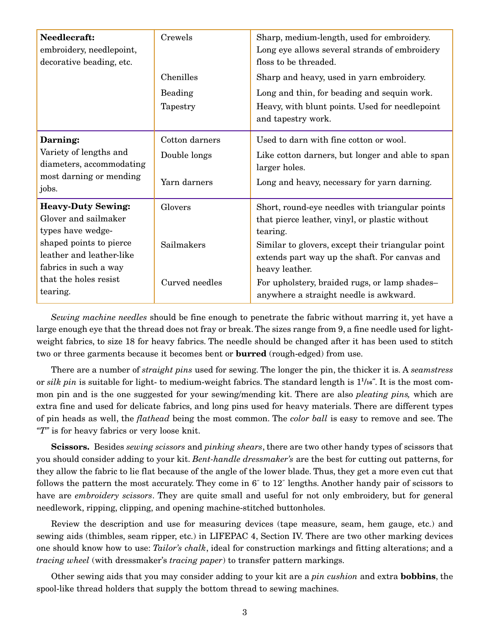| Needlecraft:<br>embroidery, needlepoint,<br>decorative beading, etc.                                                          | Crewels<br>Chenilles                           | Sharp, medium-length, used for embroidery.<br>Long eye allows several strands of embroidery<br>floss to be threaded.<br>Sharp and heavy, used in yarn embroidery.                                                   |
|-------------------------------------------------------------------------------------------------------------------------------|------------------------------------------------|---------------------------------------------------------------------------------------------------------------------------------------------------------------------------------------------------------------------|
|                                                                                                                               | Beading<br>Tapestry                            | Long and thin, for beading and sequin work.<br>Heavy, with blunt points. Used for needlepoint<br>and tapestry work.                                                                                                 |
| Darning:<br>Variety of lengths and<br>diameters, accommodating<br>most darning or mending<br>jobs.                            | Cotton darners<br>Double longs<br>Yarn darners | Used to darn with fine cotton or wool.<br>Like cotton darners, but longer and able to span<br>larger holes.<br>Long and heavy, necessary for yarn darning.                                                          |
| <b>Heavy-Duty Sewing:</b><br>Glover and sailmaker<br>types have wedge-<br>shaped points to pierce<br>leather and leather-like | Glovers<br>Sailmakers                          | Short, round-eye needles with triangular points<br>that pierce leather, vinyl, or plastic without<br>tearing.<br>Similar to glovers, except their triangular point<br>extends part way up the shaft. For canvas and |
| fabrics in such a way<br>that the holes resist<br>tearing.                                                                    | Curved needles                                 | heavy leather.<br>For upholstery, braided rugs, or lamp shades-<br>anywhere a straight needle is awkward.                                                                                                           |

*Sewing machine needles* should be fine enough to penetrate the fabric without marring it, yet have a large enough eye that the thread does not fray or break. The sizes range from 9, a fine needle used for lightweight fabrics, to size 18 for heavy fabrics. The needle should be changed after it has been used to stitch two or three garments because it becomes bent or **burred** (rough-edged) from use.

There are a number of *straight pins* used for sewing. The longer the pin, the thicker it is. A *seamstress* or *silk pin* is suitable for light- to medium-weight fabrics. The standard length is 1**<sup>1</sup> /16˝**. It is the most common pin and is the one suggested for your sewing/mending kit. There are also *pleating pins,* which are extra fine and used for delicate fabrics, and long pins used for heavy materials. There are different types of pin heads as well, the *flathead* being the most common. The *color ball* is easy to remove and see. The *"T"* is for heavy fabrics or very loose knit.

**Scissors.** Besides *sewing scissors* and *pinking shears*, there are two other handy types of scissors that you should consider adding to your kit. *Bent-handle dressmaker's* are the best for cutting out patterns, for they allow the fabric to lie flat because of the angle of the lower blade. Thus, they get a more even cut that follows the pattern the most accurately. They come in 6˝ to 12˝ lengths. Another handy pair of scissors to have are *embroidery scissors*. They are quite small and useful for not only embroidery, but for general needlework, ripping, clipping, and opening machine-stitched buttonholes.

Review the description and use for measuring devices (tape measure, seam, hem gauge, etc.) and sewing aids (thimbles, seam ripper, etc.) in LIFEPAC 4, Section IV. There are two other marking devices one should know how to use: *Tailor's chalk*, ideal for construction markings and fitting alterations; and a *tracing wheel* (with dressmaker's *tracing paper*) to transfer pattern markings.

Other sewing aids that you may consider adding to your kit are a *pin cushion* and extra **bobbins**, the spool-like thread holders that supply the bottom thread to sewing machines.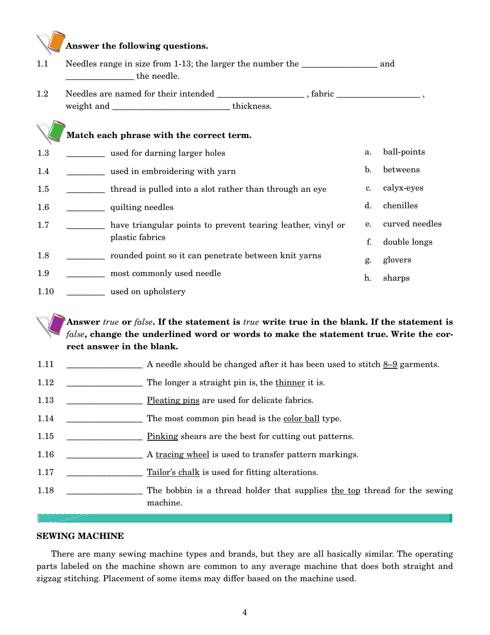#### **Answer the following questions.**

- 1.1 Needles range in size from 1-13; the larger the number the \_\_\_\_\_\_\_\_\_\_\_\_\_\_\_\_\_\_\_\_ and \_\_\_\_\_\_\_\_\_\_\_\_\_\_\_\_\_\_ the needle.
- 1.2 Needles are named for their intended \_\_\_\_\_\_\_\_\_\_\_\_\_\_\_\_\_\_\_\_\_\_\_\_\_\_\_, fabric \_\_\_\_ weight and \_\_\_\_\_\_\_\_\_\_\_\_\_\_\_\_\_\_\_\_\_\_\_\_\_\_\_\_\_\_\_ thickness.

#### **Match each phrase with the correct term.**

| 1.3  | used for darning larger holes                               | a.             | ball-points    |
|------|-------------------------------------------------------------|----------------|----------------|
| 1.4  | used in embroidering with yarn                              | b.             | betweens       |
| 1.5  | thread is pulled into a slot rather than through an eye     | c.             | calyx-eyes     |
| 1.6  | quilting needles                                            | $\mathbf{d}$ . | chenilles      |
| 1.7  | have triangular points to prevent tearing leather, vinyl or | е.             | curved needles |
|      | plastic fabrics                                             | f.             | double longs   |
| 1.8  | rounded point so it can penetrate between knit yarns        | g.             | glovers        |
| 1.9  | most commonly used needle                                   | h.             | sharps         |
| 1.10 | used on upholstery                                          |                |                |

**Answer** *true* **or** *false***. If the statement is** *true* **write true in the blank. If the statement is** *false***, change the underlined word or words to make the statement true. Write the correct answer in the blank.**

- 1.11 \_\_\_\_\_\_\_\_\_\_\_\_\_\_\_\_\_\_\_\_ A needle should be changed after it has been used to stitch 8–9 garments.
- 1.12 \_\_\_\_\_\_\_\_\_\_\_\_\_\_\_\_\_\_\_\_ The longer a straight pin is, the thinner it is.
- 1.13 \_\_\_\_\_\_\_\_\_\_\_\_\_\_\_\_\_\_\_\_ Pleating pins are used for delicate fabrics.
- 1.14 \_\_\_\_\_\_\_\_\_\_\_\_\_\_\_\_\_\_\_\_ The most common pin head is the color ball type.
- 1.15 **1.15** Pinking shears are the best for cutting out patterns.
- 1.16 \_\_\_\_\_\_\_\_\_\_\_\_\_\_\_\_\_\_\_\_ A tracing wheel is used to transfer pattern markings.
- 1.17 **Tailor's chalk is used for fitting alterations.**
- 1.18 The bobbin is a thread holder that supplies the top thread for the sewing machine.

#### **SEWING MACHINE**

There are many sewing machine types and brands, but they are all basically similar. The operating parts labeled on the machine shown are common to any average machine that does both straight and zigzag stitching. Placement of some items may differ based on the machine used.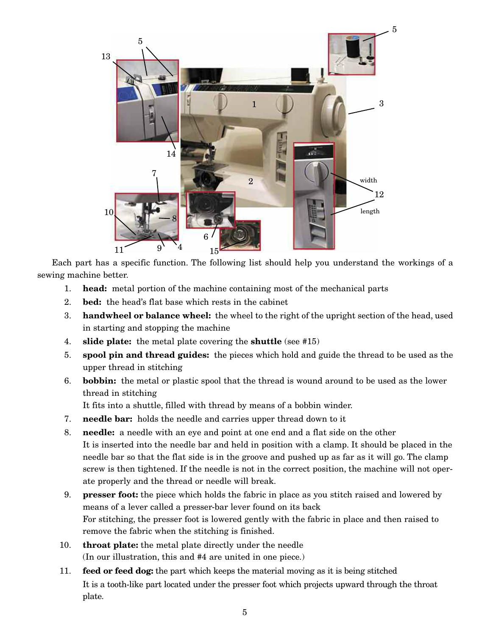

Each part has a specific function. The following list should help you understand the workings of a sewing machine better.

- 1. **head:** metal portion of the machine containing most of the mechanical parts
- 2. **bed:** the head's flat base which rests in the cabinet
- 3. **handwheel or balance wheel:** the wheel to the right of the upright section of the head, used in starting and stopping the machine
- 4. **slide plate:** the metal plate covering the **shuttle** (see #15)
- 5. **spool pin and thread guides:** the pieces which hold and guide the thread to be used as the upper thread in stitching
- 6. **bobbin:** the metal or plastic spool that the thread is wound around to be used as the lower thread in stitching

It fits into a shuttle, filled with thread by means of a bobbin winder.

- 7. **needle bar:** holds the needle and carries upper thread down to it
- 8. **needle:** a needle with an eye and point at one end and a flat side on the other It is inserted into the needle bar and held in position with a clamp. It should be placed in the needle bar so that the flat side is in the groove and pushed up as far as it will go. The clamp screw is then tightened. If the needle is not in the correct position, the machine will not operate properly and the thread or needle will break.
- 9. **presser foot:** the piece which holds the fabric in place as you stitch raised and lowered by means of a lever called a presser-bar lever found on its back For stitching, the presser foot is lowered gently with the fabric in place and then raised to remove the fabric when the stitching is finished.
- 10. **throat plate:** the metal plate directly under the needle (In our illustration, this and #4 are united in one piece.)
- 11. **feed or feed dog:** the part which keeps the material moving as it is being stitched It is a tooth-like part located under the presser foot which projects upward through the throat plate.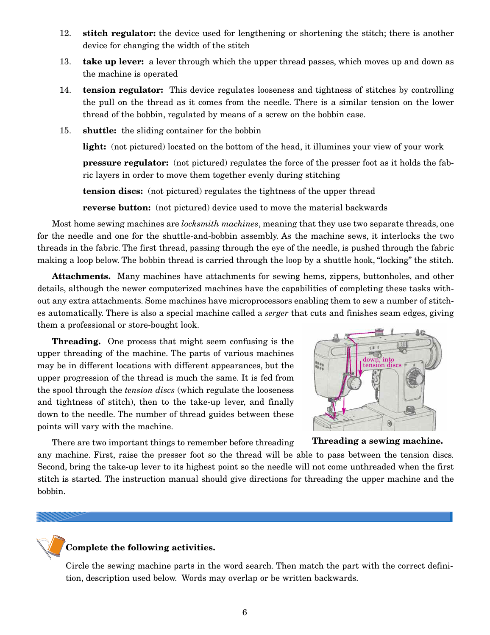- 12. **stitch regulator:** the device used for lengthening or shortening the stitch; there is another device for changing the width of the stitch
- 13. **take up lever:** a lever through which the upper thread passes, which moves up and down as the machine is operated
- 14. **tension regulator:** This device regulates looseness and tightness of stitches by controlling the pull on the thread as it comes from the needle. There is a similar tension on the lower thread of the bobbin, regulated by means of a screw on the bobbin case.
- 15. **shuttle:** the sliding container for the bobbin

**light:** (not pictured) located on the bottom of the head, it illumines your view of your work

**pressure regulator:** (not pictured) regulates the force of the presser foot as it holds the fabric layers in order to move them together evenly during stitching

**tension discs:** (not pictured) regulates the tightness of the upper thread

**reverse button:** (not pictured) device used to move the material backwards

Most home sewing machines are *locksmith machines*, meaning that they use two separate threads, one for the needle and one for the shuttle-and-bobbin assembly. As the machine sews, it interlocks the two threads in the fabric. The first thread, passing through the eye of the needle, is pushed through the fabric making a loop below. The bobbin thread is carried through the loop by a shuttle hook, "locking" the stitch.

**Attachments.** Many machines have attachments for sewing hems, zippers, buttonholes, and other details, although the newer computerized machines have the capabilities of completing these tasks without any extra attachments. Some machines have microprocessors enabling them to sew a number of stitches automatically. There is also a special machine called a *serger* that cuts and finishes seam edges, giving them a professional or store-bought look.

**Threading.** One process that might seem confusing is the upper threading of the machine. The parts of various machines may be in different locations with different appearances, but the upper progression of the thread is much the same. It is fed from the spool through the *tension discs* (which regulate the looseness and tightness of stitch), then to the take-up lever, and finally down to the needle. The number of thread guides between these points will vary with the machine.

There are two important things to remember before threading



**Threading a sewing machine.**

any machine. First, raise the presser foot so the thread will be able to pass between the tension discs. Second, bring the take-up lever to its highest point so the needle will not come unthreaded when the first stitch is started. The instruction manual should give directions for threading the upper machine and the bobbin.

#### **Complete the following activities.**

Circle the sewing machine parts in the word search. Then match the part with the correct definition, description used below. Words may overlap or be written backwards.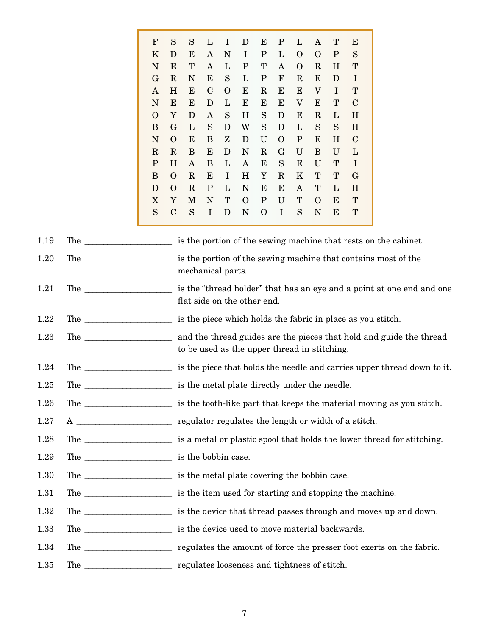|      |                                                                                                   | ${\bf F}$        | $\mathbf S$                | $\mathbf S$       | L            | $\bf{I}$     | $\mathbf D$                                   | $\bf E$      | $\mathbf P$  | $\mathbf{L}$            | A            | $\mathbf T$  | E            |                                                                         |  |
|------|---------------------------------------------------------------------------------------------------|------------------|----------------------------|-------------------|--------------|--------------|-----------------------------------------------|--------------|--------------|-------------------------|--------------|--------------|--------------|-------------------------------------------------------------------------|--|
|      |                                                                                                   | $\bf K$          | ${\bf D}$                  | ${\bf E}$         | $\bf{A}$     | N            | $\mathbf I$                                   | $\mathbf P$  | $\mathbf L$  | $\mathbf{O}$            | $\mathbf{O}$ | $\, {\bf P}$ | ${\bf S}$    |                                                                         |  |
|      |                                                                                                   | N                | E                          | $\mathbf T$       | $\bf{A}$     | $\mathbf{L}$ | ${\bf P}$                                     | $\mathbf T$  | A            | $\mathbf{O}$            | $\mathbf R$  | $\, {\rm H}$ | $\mathbf T$  |                                                                         |  |
|      |                                                                                                   | G                | ${\bf R}$                  | ${\bf N}$         | ${\bf E}$    | ${\bf S}$    | $\mathbf L$                                   | $\mathbf P$  | $\mathbf F$  | $\mathbf R$             | $\bf E$      | ${\bf D}$    | $\mathbf I$  |                                                                         |  |
|      |                                                                                                   | $\mathbf{A}$     | $\, {\rm H}$               | ${\bf E}$         | $\mathbf C$  | $\mathbf{O}$ | $\bf E$                                       | $\mathbf R$  | $\mathbf E$  | ${\bf E}$               | V            | $\mathbf I$  | $\mathbf T$  |                                                                         |  |
|      |                                                                                                   | $\mathbf N$      | ${\bf E}$                  | ${\bf E}$         | ${\bf D}$    | $\mathbf L$  | ${\bf E}$                                     | ${\bf E}$    | ${\bf E}$    | $\ensuremath{\text{V}}$ | ${\bf E}$    | $\mathbf T$  | $\mathbf C$  |                                                                         |  |
|      |                                                                                                   | $\mathbf O$      | $\mathbf Y$                | ${\bf D}$         | $\mathbf{A}$ | ${\bf S}$    | $\, {\rm H}$                                  | S            | $\mathbf D$  | $\bf E$                 | $\mathbf R$  | $\mathbf{L}$ | $\, {\rm H}$ |                                                                         |  |
|      |                                                                                                   | $\, {\bf B}$     | G                          | $\bf L$           | ${\bf S}$    | ${\bf D}$    | W                                             | S            | $\mathbf D$  | $\mathbf L$             | ${\bf S}$    | ${\bf S}$    | $\,$ H       |                                                                         |  |
|      |                                                                                                   | ${\bf N}$        | $\mathbf O$                | ${\bf E}$         | $\bf{B}$     | Z            | $\mathbf D$                                   | $\mathbf U$  | $\mathbf{O}$ | $\mathbf P$             | $\bf E$      | $\, {\rm H}$ | $\mathbf C$  |                                                                         |  |
|      |                                                                                                   | ${\bf R}$        | $\mathbf R$                | $\, {\bf B}$      | ${\bf E}$    | ${\bf D}$    | $\mathbf N$                                   | $\mathbf R$  | $\mathbf G$  | $\mathbf U$             | $\bf{B}$     | ${\bf U}$    | $\mathbf{L}$ |                                                                         |  |
|      |                                                                                                   | ${\bf P}$        | $\, {\rm H}$               | $\mathbf{A}$      | $\, {\bf B}$ | $\mathbf{L}$ | $\mathbf{A}$                                  | ${\bf E}$    | S            | ${\bf E}$               | $\mathbf U$  | $\mathbf T$  | $\bf I$      |                                                                         |  |
|      |                                                                                                   | $\, {\bf B}$     | $\mathbf{O}$               | $\mathbf R$       | ${\bf E}$    | $\mathbf I$  | $\, {\rm H}$                                  | Y            | $\mathbf R$  | $\rm K$                 | T            | $\mathbf T$  | $\mathbf G$  |                                                                         |  |
|      |                                                                                                   | ${\bf D}$        | $\mathbf{O}$               | $\mathbf R$       | $\, {\bf P}$ | $\mathbf{L}$ | ${\bf N}$                                     | ${\bf E}$    | ${\bf E}$    | $\bf{A}$                | $\mathbf T$  | $\mathbf{L}$ | H            |                                                                         |  |
|      |                                                                                                   | $\mathbf X$<br>S | $\mathbf Y$<br>$\mathbf C$ | $\mathbf M$       | N            | $\mathbf T$  | $\mathbf{O}$                                  | $\mathbf{P}$ | ${\bf U}$    | T                       | $\mathbf{O}$ | ${\bf E}$    | $\mathbf T$  |                                                                         |  |
|      |                                                                                                   |                  |                            | S                 | $\mathbf I$  | $\mathbf D$  | ${\bf N}$                                     | $\mathbf{O}$ | $\mathbf I$  | S                       | $\mathbf N$  | E            | $\mathbf T$  |                                                                         |  |
| 1.19 | $\begin{tabular}{c} The \end{tabular}$                                                            |                  |                            |                   |              |              |                                               |              |              |                         |              |              |              | is the portion of the sewing machine that rests on the cabinet.         |  |
| 1.20 | The $\qquad$                                                                                      |                  |                            |                   |              |              |                                               |              |              |                         |              |              |              | is the portion of the sewing machine that contains most of the          |  |
|      |                                                                                                   |                  |                            | mechanical parts. |              |              |                                               |              |              |                         |              |              |              |                                                                         |  |
| 1.21 |                                                                                                   |                  |                            |                   |              |              |                                               |              |              |                         |              |              |              |                                                                         |  |
|      |                                                                                                   |                  |                            |                   |              |              | flat side on the other end.                   |              |              |                         |              |              |              |                                                                         |  |
| 1.22 | The $\qquad$                                                                                      |                  |                            |                   |              |              |                                               |              |              |                         |              |              |              | is the piece which holds the fabric in place as you stitch.             |  |
| 1.23 | The $\qquad$                                                                                      |                  |                            |                   |              |              |                                               |              |              |                         |              |              |              | and the thread guides are the pieces that hold and guide the thread     |  |
|      |                                                                                                   |                  |                            |                   |              |              | to be used as the upper thread in stitching.  |              |              |                         |              |              |              |                                                                         |  |
| 1.24 | The                                                                                               |                  |                            |                   |              |              |                                               |              |              |                         |              |              |              | is the piece that holds the needle and carries upper thread down to it. |  |
| 1.25 | The                                                                                               |                  |                            |                   |              |              | is the metal plate directly under the needle. |              |              |                         |              |              |              |                                                                         |  |
| 1.26 | The ________________________ is the tooth-like part that keeps the material moving as you stitch. |                  |                            |                   |              |              |                                               |              |              |                         |              |              |              |                                                                         |  |
| 1.27 |                                                                                                   |                  |                            |                   |              |              |                                               |              |              |                         |              |              |              |                                                                         |  |
| 1.28 |                                                                                                   |                  |                            |                   |              |              |                                               |              |              |                         |              |              |              |                                                                         |  |
| 1.29 |                                                                                                   |                  |                            |                   |              |              |                                               |              |              |                         |              |              |              |                                                                         |  |
| 1.30 |                                                                                                   |                  |                            |                   |              |              |                                               |              |              |                         |              |              |              |                                                                         |  |
| 1.31 | The ______________________ is the item used for starting and stopping the machine.                |                  |                            |                   |              |              |                                               |              |              |                         |              |              |              |                                                                         |  |
| 1.32 | The _______________________ is the device that thread passes through and moves up and down.       |                  |                            |                   |              |              |                                               |              |              |                         |              |              |              |                                                                         |  |
| 1.33 | The _________________________ is the device used to move material backwards.                      |                  |                            |                   |              |              |                                               |              |              |                         |              |              |              |                                                                         |  |
| 1.34 |                                                                                                   |                  |                            |                   |              |              |                                               |              |              |                         |              |              |              |                                                                         |  |
| 1.35 | The _________________________ regulates looseness and tightness of stitch.                        |                  |                            |                   |              |              |                                               |              |              |                         |              |              |              |                                                                         |  |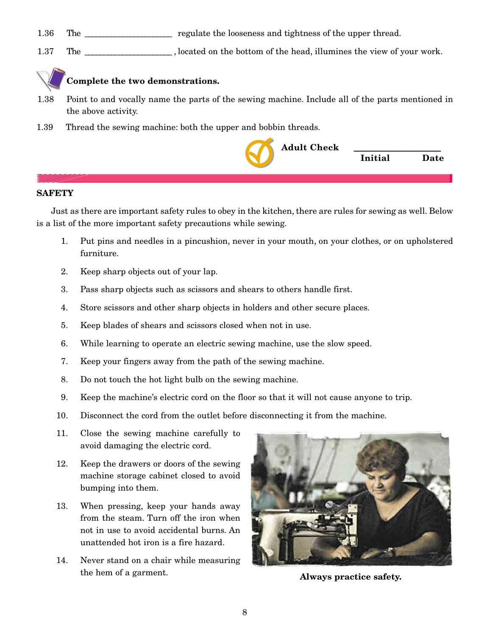- 1.36 The <u>contract the looseness and tightness</u> of the upper thread.
- 1.37 The \_\_\_\_\_\_\_\_\_\_\_\_\_\_\_\_\_, located on the bottom of the head, illumines the view of your work.

#### **Complete the two demonstrations.**

- 1.38 Point to and vocally name the parts of the sewing machine. Include all of the parts mentioned in the above activity.
- 1.39 Thread the sewing machine: both the upper and bobbin threads.



#### **SAFETY**

Just as there are important safety rules to obey in the kitchen, there are rules for sewing as well. Below is a list of the more important safety precautions while sewing.

- 1. Put pins and needles in a pincushion, never in your mouth, on your clothes, or on upholstered furniture.
- 2. Keep sharp objects out of your lap.
- 3. Pass sharp objects such as scissors and shears to others handle first.
- 4. Store scissors and other sharp objects in holders and other secure places.
- 5. Keep blades of shears and scissors closed when not in use.
- 6. While learning to operate an electric sewing machine, use the slow speed.
- 7. Keep your fingers away from the path of the sewing machine.
- 8. Do not touch the hot light bulb on the sewing machine.
- 9. Keep the machine's electric cord on the floor so that it will not cause anyone to trip.
- 10. Disconnect the cord from the outlet before disconnecting it from the machine.
- 11. Close the sewing machine carefully to avoid damaging the electric cord.
- 12. Keep the drawers or doors of the sewing machine storage cabinet closed to avoid bumping into them.
- 13. When pressing, keep your hands away from the steam. Turn off the iron when not in use to avoid accidental burns. An unattended hot iron is a fire hazard.
- 14. Never stand on a chair while measuring the hem of <sup>a</sup> garment. **Always practice safety.**

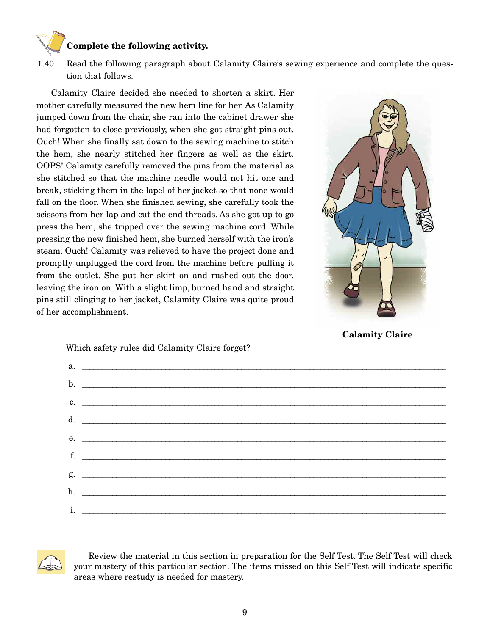### **Complete the following activity.**

1.40 Read the following paragraph about Calamity Claire's sewing experience and complete the question that follows.

Calamity Claire decided she needed to shorten a skirt. Her mother carefully measured the new hem line for her. As Calamity jumped down from the chair, she ran into the cabinet drawer she had forgotten to close previously, when she got straight pins out. Ouch! When she finally sat down to the sewing machine to stitch the hem, she nearly stitched her fingers as well as the skirt. OOPS! Calamity carefully removed the pins from the material as she stitched so that the machine needle would not hit one and break, sticking them in the lapel of her jacket so that none would fall on the floor. When she finished sewing, she carefully took the scissors from her lap and cut the end threads. As she got up to go press the hem, she tripped over the sewing machine cord. While pressing the new finished hem, she burned herself with the iron's steam. Ouch! Calamity was relieved to have the project done and promptly unplugged the cord from the machine before pulling it from the outlet. She put her skirt on and rushed out the door, leaving the iron on. With a slight limp, burned hand and straight pins still clinging to her jacket, Calamity Claire was quite proud of her accomplishment.



**Calamity Claire**



Which safety rules did Calamity Claire forget?

Review the material in this section in preparation for the Self Test. The Self Test will check your mastery of this particular section. The items missed on this Self Test will indicate specific areas where restudy is needed for mastery.